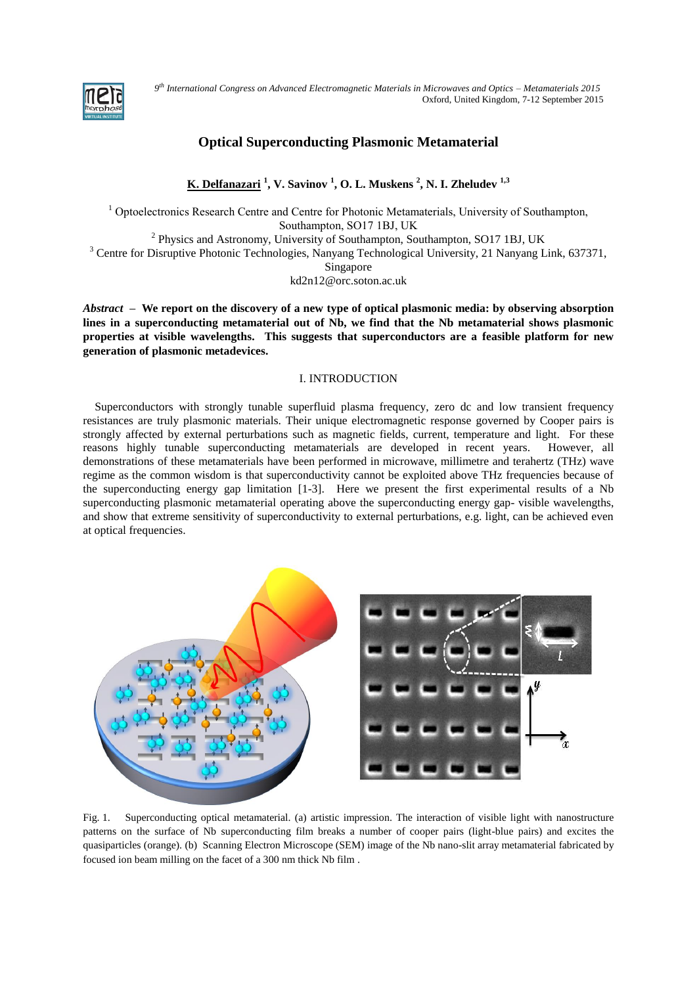

# **Optical Superconducting Plasmonic Metamaterial**

**K. Delfanazari <sup>1</sup> , V. Savinov <sup>1</sup> , O. L. Muskens <sup>2</sup> , N. I. Zheludev 1,3**

 $<sup>1</sup>$  Optoelectronics Research Centre and Centre for Photonic Metamaterials, University of Southampton,</sup> Southampton, SO17 1BJ, UK

<sup>2</sup> Physics and Astronomy, University of Southampton, Southampton, SO17 1BJ, UK

<sup>3</sup> Centre for Disruptive Photonic Technologies, Nanyang Technological University, 21 Nanyang Link, 637371,

Singapore

kd2n12@orc.soton.ac.uk

*Abstract* **– We report on the discovery of a new type of optical plasmonic media: by observing absorption lines in a superconducting metamaterial out of Nb, we find that the Nb metamaterial shows plasmonic properties at visible wavelengths. This suggests that superconductors are a feasible platform for new generation of plasmonic metadevices.**

### I. INTRODUCTION

 Superconductors with strongly tunable superfluid plasma frequency, zero dc and low transient frequency resistances are truly plasmonic materials. Their unique electromagnetic response governed by Cooper pairs is strongly affected by external perturbations such as magnetic fields, current, temperature and light. For these reasons highly tunable superconducting metamaterials are developed in recent years. However, all demonstrations of these metamaterials have been performed in microwave, millimetre and terahertz (THz) wave regime as the common wisdom is that superconductivity cannot be exploited above THz frequencies because of the superconducting energy gap limitation [1-3]. Here we present the first experimental results of a Nb superconducting plasmonic metamaterial operating above the superconducting energy gap- visible wavelengths, and show that extreme sensitivity of superconductivity to external perturbations, e.g. light, can be achieved even at optical frequencies.



Fig. 1. Superconducting optical metamaterial. (a) artistic impression. The interaction of visible light with nanostructure patterns on the surface of Nb superconducting film breaks a number of cooper pairs (light-blue pairs) and excites the quasiparticles (orange). (b) Scanning Electron Microscope (SEM) image of the Nb nano-slit array metamaterial fabricated by focused ion beam milling on the facet of a 300 nm thick Nb film .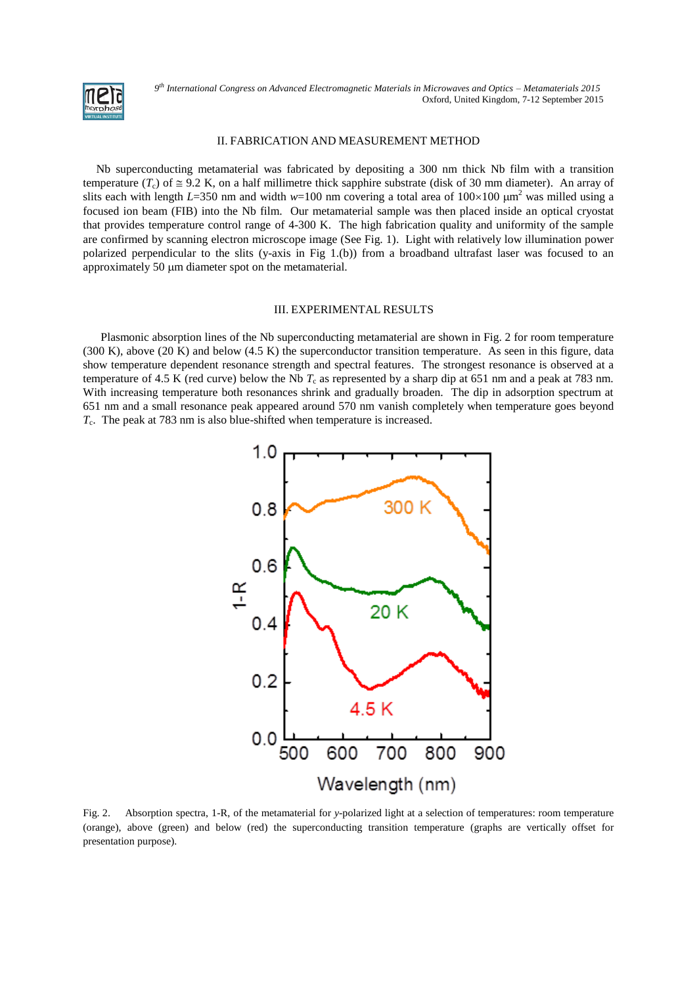

### II. FABRICATION AND MEASUREMENT METHOD

Nb superconducting metamaterial was fabricated by depositing a 300 nm thick Nb film with a transition temperature  $(T_c)$  of  $\approx$  9.2 K, on a half millimetre thick sapphire substrate (disk of 30 mm diameter). An array of slits each with length *L*=350 nm and width  $w=100$  nm covering a total area of  $100\times100 \mu m^2$  was milled using a focused ion beam (FIB) into the Nb film. Our metamaterial sample was then placed inside an optical cryostat that provides temperature control range of 4-300 K. The high fabrication quality and uniformity of the sample are confirmed by scanning electron microscope image (See Fig. 1). Light with relatively low illumination power polarized perpendicular to the slits (y-axis in Fig 1.(b)) from a broadband ultrafast laser was focused to an approximately 50  $\mu$ m diameter spot on the metamaterial.

#### III. EXPERIMENTAL RESULTS

 Plasmonic absorption lines of the Nb superconducting metamaterial are shown in Fig. 2 for room temperature (300 K), above (20 K) and below (4.5 K) the superconductor transition temperature. As seen in this figure, data show temperature dependent resonance strength and spectral features. The strongest resonance is observed at a temperature of 4.5 K (red curve) below the Nb  $T_c$  as represented by a sharp dip at 651 nm and a peak at 783 nm. With increasing temperature both resonances shrink and gradually broaden. The dip in adsorption spectrum at 651 nm and a small resonance peak appeared around 570 nm vanish completely when temperature goes beyond *T*c . The peak at 783 nm is also blue-shifted when temperature is increased.



Fig. 2. Absorption spectra, 1-R, of the metamaterial for *y*-polarized light at a selection of temperatures: room temperature (orange), above (green) and below (red) the superconducting transition temperature (graphs are vertically offset for presentation purpose).